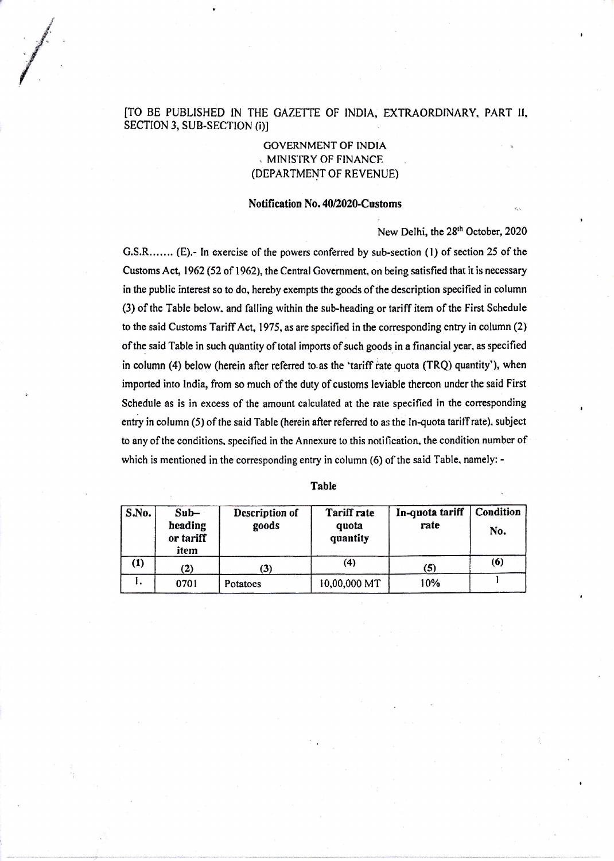## [TO BE PUBLISHED IN THE GAZETTE OF INDIA, EXTRAORDINARY, PART II, SECTION 3, SUB-SECTION (i)]

GOVERNMENTOF INDIA . MINIS'I'RY OF FINANCF. (DEPARTMENT OF REVENUE)

## Notification No. 40/2020-Customs

New Delhi, the 28<sup>th</sup> October, 2020

G.S.R....... (E).- In exercise of the powers conferred by sub-section (l) of section 25 of the Customs Act, 1962 (52 of 1962), the Central Government, on being satisfied that it is necessary in the public interest so to do. hereby cxempts the goods of the description specified in column (3) of thc Table bclow. and falling within the sub-heading or tariff itern of the First Schcdule to the said Customs Tariff Act, 1975, as are specified in the corresponding entry in column (2) of the said Table in such quantity of total imports of such goods in a financial year, as specified in column (4) below (herein after referred to as the 'tariff rate quota (TRQ) quantity'), when imported into lndia, from so much of the duty of customs leviable thereon undcrthe said First Schedule as is in excess of the amount calculated at the rate specified in the corresponding entry in column (5) of the said Table (herein after referred to as the In-quota tariff rate), subject to any of the conditions. specified in the Annexure to this notification, the condition number of which is mentioned in the corresponding entry in column (6) of the said Table, namely: -

| Table |  |
|-------|--|
|       |  |

| S.No. | $Sub-$<br>heading<br>or tariff<br>item | Description of<br>goods | <b>Tariff rate</b><br>quota<br>quantity | In-quota tariff<br>rate | Condition<br>No. |
|-------|----------------------------------------|-------------------------|-----------------------------------------|-------------------------|------------------|
| (1)   | $\bf(2)$                               | (3)                     | (4)                                     | 6                       | (6)              |
| ι.    | 0701                                   | Potatoes                | 10,00,000 MT                            | 10%                     |                  |